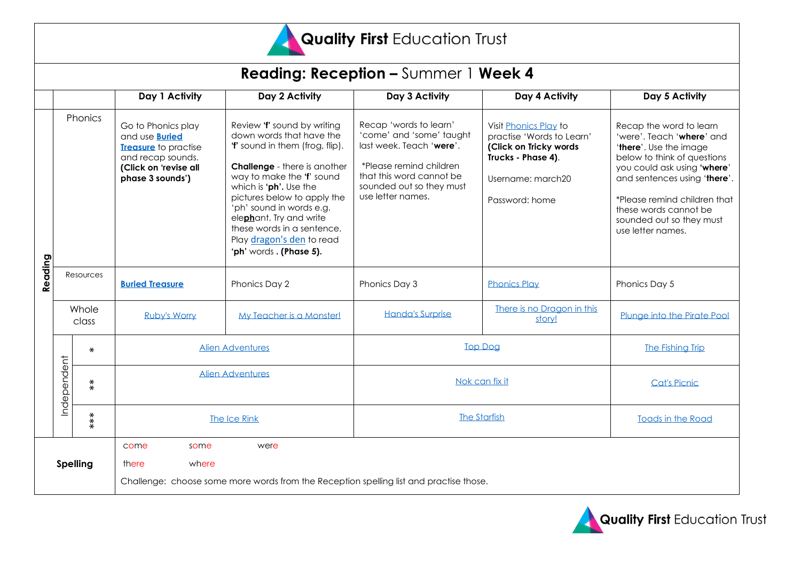

## Quality First Education Trust

| <b>Reading: Reception - Summer 1 Week 4</b> |                |                   |                                                                                                                                              |                                                                                                                                                                                                                                                                                                                                                                     |                                                                                                                                                                                        |                                                                                                                                           |                                                                                                                                                                                                                                                                                        |
|---------------------------------------------|----------------|-------------------|----------------------------------------------------------------------------------------------------------------------------------------------|---------------------------------------------------------------------------------------------------------------------------------------------------------------------------------------------------------------------------------------------------------------------------------------------------------------------------------------------------------------------|----------------------------------------------------------------------------------------------------------------------------------------------------------------------------------------|-------------------------------------------------------------------------------------------------------------------------------------------|----------------------------------------------------------------------------------------------------------------------------------------------------------------------------------------------------------------------------------------------------------------------------------------|
|                                             |                |                   | Day 1 Activity                                                                                                                               | Day 2 Activity                                                                                                                                                                                                                                                                                                                                                      | Day 3 Activity                                                                                                                                                                         | Day 4 Activity                                                                                                                            | Day 5 Activity                                                                                                                                                                                                                                                                         |
| Reading                                     | Phonics        |                   | Go to Phonics play<br>and use <b>Buried</b><br><b>Treasure</b> to practise<br>and recap sounds.<br>(Click on 'revise all<br>phase 3 sounds') | Review 'f' sound by writing<br>down words that have the<br>'f' sound in them (frog, flip).<br><b>Challenge</b> - there is another<br>way to make the 'f' sound<br>which is 'ph'. Use the<br>pictures below to apply the<br>'ph' sound in words e.g.<br>elephant. Try and write<br>these words in a sentence.<br>Play dragon's den to read<br>'ph' words. (Phase 5). | Recap 'words to learn'<br>'come' and 'some' taught<br>last week. Teach 'were'.<br>*Please remind children<br>that this word cannot be<br>sounded out so they must<br>use letter names. | Visit Phonics Play to<br>practise 'Words to Learn'<br>(Click on Tricky words<br>Trucks - Phase 4).<br>Username: march20<br>Password: home | Recap the word to learn<br>'were'. Teach 'where' and<br>'there'. Use the image<br>below to think of questions<br>you could ask using 'where'<br>and sentences using 'there'.<br>*Please remind children that<br>these words cannot be<br>sounded out so they must<br>use letter names. |
|                                             | Resources      |                   | <b>Buried Treasure</b>                                                                                                                       | Phonics Day 2                                                                                                                                                                                                                                                                                                                                                       | Phonics Day 3                                                                                                                                                                          | <b>Phonics Play</b>                                                                                                                       | Phonics Day 5                                                                                                                                                                                                                                                                          |
|                                             | Whole<br>class |                   | Ruby's Worry                                                                                                                                 | My Teacher is a Monster!                                                                                                                                                                                                                                                                                                                                            | <b>Handa's Surprise</b>                                                                                                                                                                | There is no Dragon in this<br>story!                                                                                                      | Plunge into the Pirate Pool                                                                                                                                                                                                                                                            |
|                                             | Independent    | $\star$           | <b>Alien Adventures</b>                                                                                                                      |                                                                                                                                                                                                                                                                                                                                                                     | <b>Top Dog</b>                                                                                                                                                                         |                                                                                                                                           | The Fishing Trip                                                                                                                                                                                                                                                                       |
|                                             |                | $\stackrel{*}{*}$ | <b>Alien Adventures</b>                                                                                                                      |                                                                                                                                                                                                                                                                                                                                                                     | Nok can fix it                                                                                                                                                                         |                                                                                                                                           | <b>Cat's Picnic</b>                                                                                                                                                                                                                                                                    |
|                                             | $***$          |                   | The Ice Rink                                                                                                                                 |                                                                                                                                                                                                                                                                                                                                                                     | <b>The Starfish</b>                                                                                                                                                                    |                                                                                                                                           | <b>Toads in the Road</b>                                                                                                                                                                                                                                                               |
| <b>Spelling</b>                             |                |                   | come<br>some<br>were<br>where<br>there<br>Challenge: choose some more words from the Reception spelling list and practise those.             |                                                                                                                                                                                                                                                                                                                                                                     |                                                                                                                                                                                        |                                                                                                                                           |                                                                                                                                                                                                                                                                                        |

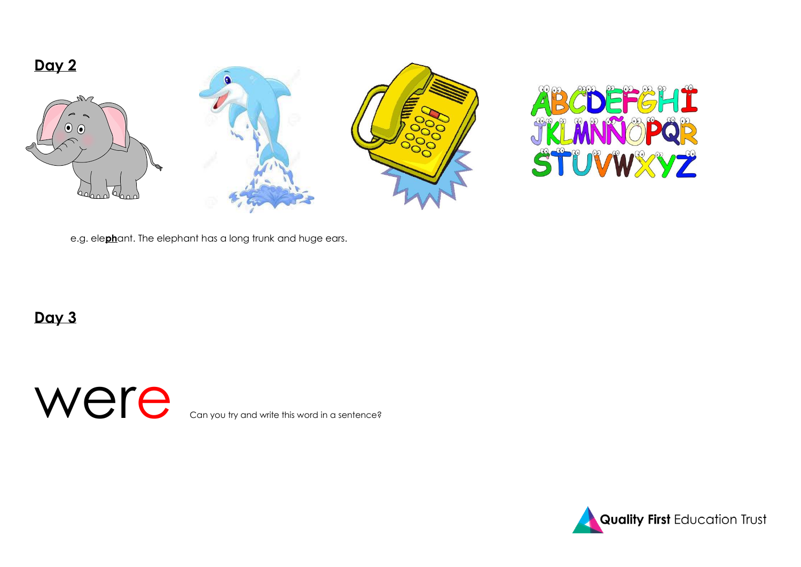



e.g. ele**ph**ant. The elephant has a long trunk and huge ears.

**Day 3**

Were  $\epsilon$  Can you try and write this word in a sentence?